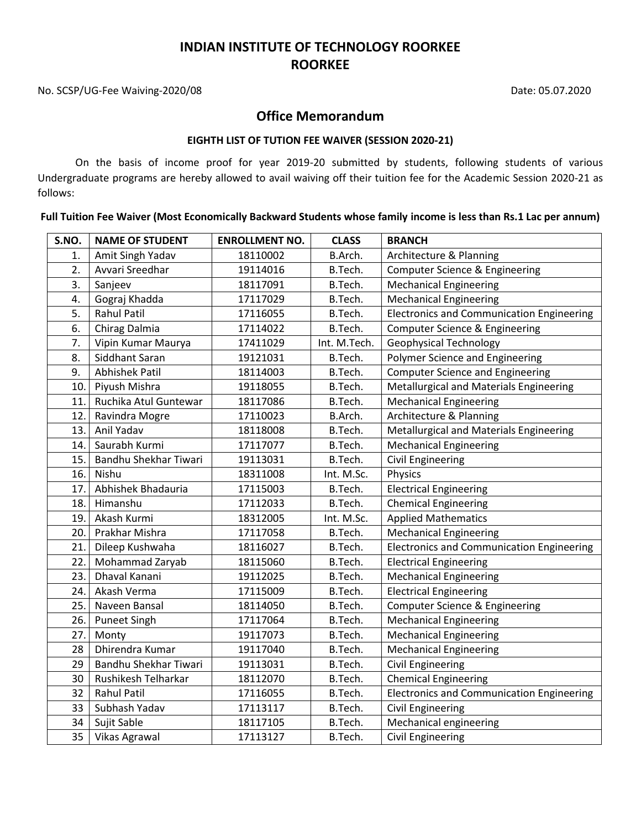## **INDIAN INSTITUTE OF TECHNOLOGY ROORKEE ROORKEE**

No. SCSP/UG-Fee Waiving-2020/08 Date: 05.07.2020

## **Office Memorandum**

#### **EIGHTH LIST OF TUTION FEE WAIVER (SESSION 2020-21)**

On the basis of income proof for year 2019-20 submitted by students, following students of various Undergraduate programs are hereby allowed to avail waiving off their tuition fee for the Academic Session 2020-21 as follows:

**Full Tuition Fee Waiver (Most Economically Backward Students whose family income is less than Rs.1 Lac per annum)**

| S.NO. | <b>NAME OF STUDENT</b> | <b>ENROLLMENT NO.</b> | <b>CLASS</b> | <b>BRANCH</b>                                    |
|-------|------------------------|-----------------------|--------------|--------------------------------------------------|
| 1.    | Amit Singh Yadav       | 18110002              | B.Arch.      | Architecture & Planning                          |
| 2.    | Avvari Sreedhar        | 19114016              | B.Tech.      | Computer Science & Engineering                   |
| 3.    | Sanjeev                | 18117091              | B.Tech.      | <b>Mechanical Engineering</b>                    |
| 4.    | Gograj Khadda          | 17117029              | B.Tech.      | <b>Mechanical Engineering</b>                    |
| 5.    | <b>Rahul Patil</b>     | 17116055              | B.Tech.      | <b>Electronics and Communication Engineering</b> |
| 6.    | Chirag Dalmia          | 17114022              | B.Tech.      | Computer Science & Engineering                   |
| 7.    | Vipin Kumar Maurya     | 17411029              | Int. M.Tech. | <b>Geophysical Technology</b>                    |
| 8.    | Siddhant Saran         | 19121031              | B.Tech.      | Polymer Science and Engineering                  |
| 9.    | Abhishek Patil         | 18114003              | B.Tech.      | <b>Computer Science and Engineering</b>          |
| 10.   | Piyush Mishra          | 19118055              | B.Tech.      | Metallurgical and Materials Engineering          |
| 11.   | Ruchika Atul Guntewar  | 18117086              | B.Tech.      | <b>Mechanical Engineering</b>                    |
| 12.   | Ravindra Mogre         | 17110023              | B.Arch.      | Architecture & Planning                          |
| 13.   | Anil Yadav             | 18118008              | B.Tech.      | Metallurgical and Materials Engineering          |
| 14.   | Saurabh Kurmi          | 17117077              | B.Tech.      | <b>Mechanical Engineering</b>                    |
| 15.   | Bandhu Shekhar Tiwari  | 19113031              | B.Tech.      | <b>Civil Engineering</b>                         |
| 16.   | Nishu                  | 18311008              | Int. M.Sc.   | Physics                                          |
| 17.   | Abhishek Bhadauria     | 17115003              | B.Tech.      | <b>Electrical Engineering</b>                    |
| 18.   | Himanshu               | 17112033              | B.Tech.      | <b>Chemical Engineering</b>                      |
| 19.   | Akash Kurmi            | 18312005              | Int. M.Sc.   | <b>Applied Mathematics</b>                       |
| 20.   | Prakhar Mishra         | 17117058              | B.Tech.      | <b>Mechanical Engineering</b>                    |
| 21.   | Dileep Kushwaha        | 18116027              | B.Tech.      | <b>Electronics and Communication Engineering</b> |
| 22.   | Mohammad Zaryab        | 18115060              | B.Tech.      | <b>Electrical Engineering</b>                    |
| 23.   | Dhaval Kanani          | 19112025              | B.Tech.      | <b>Mechanical Engineering</b>                    |
| 24.   | Akash Verma            | 17115009              | B.Tech.      | <b>Electrical Engineering</b>                    |
| 25.   | Naveen Bansal          | 18114050              | B.Tech.      | Computer Science & Engineering                   |
| 26.   | <b>Puneet Singh</b>    | 17117064              | B.Tech.      | <b>Mechanical Engineering</b>                    |
| 27.   | Monty                  | 19117073              | B.Tech.      | <b>Mechanical Engineering</b>                    |
| 28    | Dhirendra Kumar        | 19117040              | B.Tech.      | <b>Mechanical Engineering</b>                    |
| 29    | Bandhu Shekhar Tiwari  | 19113031              | B.Tech.      | <b>Civil Engineering</b>                         |
| 30    | Rushikesh Telharkar    | 18112070              | B.Tech.      | <b>Chemical Engineering</b>                      |
| 32    | <b>Rahul Patil</b>     | 17116055              | B.Tech.      | <b>Electronics and Communication Engineering</b> |
| 33    | Subhash Yadav          | 17113117              | B.Tech.      | <b>Civil Engineering</b>                         |
| 34    | Sujit Sable            | 18117105              | B.Tech.      | Mechanical engineering                           |
| 35    | Vikas Agrawal          | 17113127              | B.Tech.      | <b>Civil Engineering</b>                         |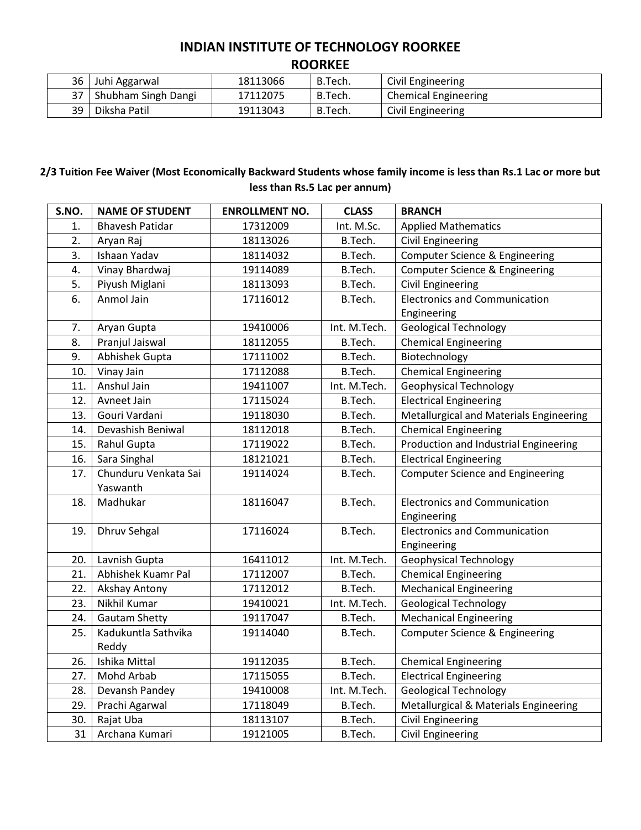## **INDIAN INSTITUTE OF TECHNOLOGY ROORKEE ROORKEE**

| 36   | Juhi Aggarwal          | 18113066 | B.Tech. | Civil Engineering           |
|------|------------------------|----------|---------|-----------------------------|
|      | 37 Shubham Singh Dangi | 17112075 | B.Tech. | <b>Chemical Engineering</b> |
| 39 I | Diksha Patil           | 19113043 | B.Tech. | Civil Engineering           |

## **2/3 Tuition Fee Waiver (Most Economically Backward Students whose family income is less than Rs.1 Lac or more but less than Rs.5 Lac per annum)**

| S.NO. | <b>NAME OF STUDENT</b>           | <b>ENROLLMENT NO.</b> | <b>CLASS</b> | <b>BRANCH</b>                                       |
|-------|----------------------------------|-----------------------|--------------|-----------------------------------------------------|
| 1.    | <b>Bhavesh Patidar</b>           | 17312009              | Int. M.Sc.   | <b>Applied Mathematics</b>                          |
| 2.    | Aryan Raj                        | 18113026              | B.Tech.      | <b>Civil Engineering</b>                            |
| 3.    | Ishaan Yadav                     | 18114032              | B.Tech.      | Computer Science & Engineering                      |
| 4.    | Vinay Bhardwaj                   | 19114089              | B.Tech.      | Computer Science & Engineering                      |
| 5.    | Piyush Miglani                   | 18113093              | B.Tech.      | Civil Engineering                                   |
| 6.    | Anmol Jain                       | 17116012              | B.Tech.      | <b>Electronics and Communication</b>                |
|       |                                  |                       |              | Engineering                                         |
| 7.    | Aryan Gupta                      | 19410006              | Int. M.Tech. | <b>Geological Technology</b>                        |
| 8.    | Pranjul Jaiswal                  | 18112055              | B.Tech.      | <b>Chemical Engineering</b>                         |
| 9.    | Abhishek Gupta                   | 17111002              | B.Tech.      | Biotechnology                                       |
| 10.   | Vinay Jain                       | 17112088              | B.Tech.      | <b>Chemical Engineering</b>                         |
| 11.   | Anshul Jain                      | 19411007              | Int. M.Tech. | <b>Geophysical Technology</b>                       |
| 12.   | Avneet Jain                      | 17115024              | B.Tech.      | <b>Electrical Engineering</b>                       |
| 13.   | Gouri Vardani                    | 19118030              | B.Tech.      | Metallurgical and Materials Engineering             |
| 14.   | Devashish Beniwal                | 18112018              | B.Tech.      | <b>Chemical Engineering</b>                         |
| 15.   | Rahul Gupta                      | 17119022              | B.Tech.      | Production and Industrial Engineering               |
| 16.   | Sara Singhal                     | 18121021              | B.Tech.      | <b>Electrical Engineering</b>                       |
| 17.   | Chunduru Venkata Sai<br>Yaswanth | 19114024              | B.Tech.      | <b>Computer Science and Engineering</b>             |
| 18.   | Madhukar                         | 18116047              | B.Tech.      | <b>Electronics and Communication</b><br>Engineering |
| 19.   | <b>Dhruv Sehgal</b>              | 17116024              | B.Tech.      | <b>Electronics and Communication</b><br>Engineering |
| 20.   | Lavnish Gupta                    | 16411012              | Int. M.Tech. | <b>Geophysical Technology</b>                       |
| 21.   | Abhishek Kuamr Pal               | 17112007              | B.Tech.      | <b>Chemical Engineering</b>                         |
| 22.   | Akshay Antony                    | 17112012              | B.Tech.      | <b>Mechanical Engineering</b>                       |
| 23.   | Nikhil Kumar                     | 19410021              | Int. M.Tech. | <b>Geological Technology</b>                        |
| 24.   | <b>Gautam Shetty</b>             | 19117047              | B.Tech.      | <b>Mechanical Engineering</b>                       |
| 25.   | Kadukuntla Sathvika<br>Reddy     | 19114040              | B.Tech.      | Computer Science & Engineering                      |
| 26.   | Ishika Mittal                    | 19112035              | B.Tech.      | <b>Chemical Engineering</b>                         |
| 27.   | Mohd Arbab                       | 17115055              | B.Tech.      | <b>Electrical Engineering</b>                       |
| 28.   | Devansh Pandey                   | 19410008              | Int. M.Tech. | <b>Geological Technology</b>                        |
| 29.   | Prachi Agarwal                   | 17118049              | B.Tech.      | Metallurgical & Materials Engineering               |
| 30.   | Rajat Uba                        | 18113107              | B.Tech.      | <b>Civil Engineering</b>                            |
| 31    | Archana Kumari                   | 19121005              | B.Tech.      | <b>Civil Engineering</b>                            |